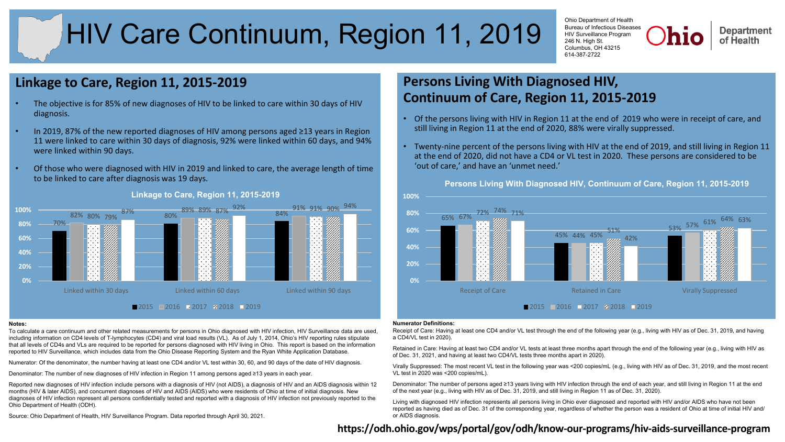# HIV Care Continuum, Region 11, 2019

Ohio Department of Health Bureau of Infectious Diseases HIV Surveillance Program 246 N. High St. Columbus, OH 43215 614-387-2722

**Department** of Health

# **Linkage to Care, Region 11, 2015-2019**

- The objective is for 85% of new diagnoses of HIV to be linked to care within 30 days of HIV diagnosis.
- In 2019, 87% of the new reported diagnoses of HIV among persons aged ≥13 years in Region 11 were linked to care within 30 days of diagnosis, 92% were linked within 60 days, and 94% were linked within 90 days.
- Of those who were diagnosed with HIV in 2019 and linked to care, the average length of time to be linked to care after diagnosis was 19 days.



### **Linkage to Care, Region 11, 2015-2019**

#### **Notes:**

To calculate a care continuum and other related measurements for persons in Ohio diagnosed with HIV infection, HIV Surveillance data are used, including information on CD4 levels of T-lymphocytes (CD4) and viral load results (VL). As of July 1, 2014, Ohio's HIV reporting rules stipulate that all levels of CD4s and VLs are required to be reported for persons diagnosed with HIV living in Ohio. This report is based on the information reported to HIV Surveillance, which includes data from the Ohio Disease Reporting System and the Ryan White Application Database.

Numerator: Of the denominator, the number having at least one CD4 and/or VL test within 30, 60, and 90 days of the date of HIV diagnosis.

Denominator: The number of new diagnoses of HIV infection in Region 11 among persons aged ≥13 years in each year.

Reported new diagnoses of HIV infection include persons with a diagnosis of HIV (not AIDS), a diagnosis of HIV and an AIDS diagnosis within 12 months (HIV & later AIDS), and concurrent diagnoses of HIV and AIDS (AIDS) who were residents of Ohio at time of initial diagnosis. New diagnoses of HIV infection represent all persons confidentially tested and reported with a diagnosis of HIV infection not previously reported to the Ohio Department of Health (ODH).

Source: Ohio Department of Health, HIV Surveillance Program. Data reported through April 30, 2021.

# **Persons Living With Diagnosed HIV, Continuum of Care, Region 11, 2015-2019**

- Of the persons living with HIV in Region 11 at the end of 2019 who were in receipt of care, and still living in Region 11 at the end of 2020, 88% were virally suppressed.
- Twenty-nine percent of the persons living with HIV at the end of 2019, and still living in Region 11 at the end of 2020, did not have a CD4 or VL test in 2020. These persons are considered to be 'out of care,' and have an 'unmet need.'

**Persons Living With Diagnosed HIV, Continuum of Care, Region 11, 2015-2019**



#### **Numerator Definitions:**

Receipt of Care: Having at least one CD4 and/or VL test through the end of the following year (e.g., living with HIV as of Dec. 31, 2019, and having a CD4/VL test in 2020).

Retained in Care: Having at least two CD4 and/or VL tests at least three months apart through the end of the following year (e.g., living with HIV as of Dec. 31, 2021, and having at least two CD4/VL tests three months apart in 2020).

Virally Suppressed: The most recent VL test in the following year was <200 copies/mL (e.g., living with HIV as of Dec. 31, 2019, and the most recent VL test in 2020 was <200 copies/mL).

Denominator: The number of persons aged ≥13 years living with HIV infection through the end of each year, and still living in Region 11 at the end of the next year (e.g., living with HIV as of Dec. 31, 2019, and still living in Region 11 as of Dec. 31, 2020).

Living with diagnosed HIV infection represents all persons living in Ohio ever diagnosed and reported with HIV and/or AIDS who have not been reported as having died as of Dec. 31 of the corresponding year, regardless of whether the person was a resident of Ohio at time of initial HIV and/ or AIDS diagnosis.

# **<https://odh.ohio.gov/wps/portal/gov/odh/know-our-programs/hiv-aids-surveillance-program>**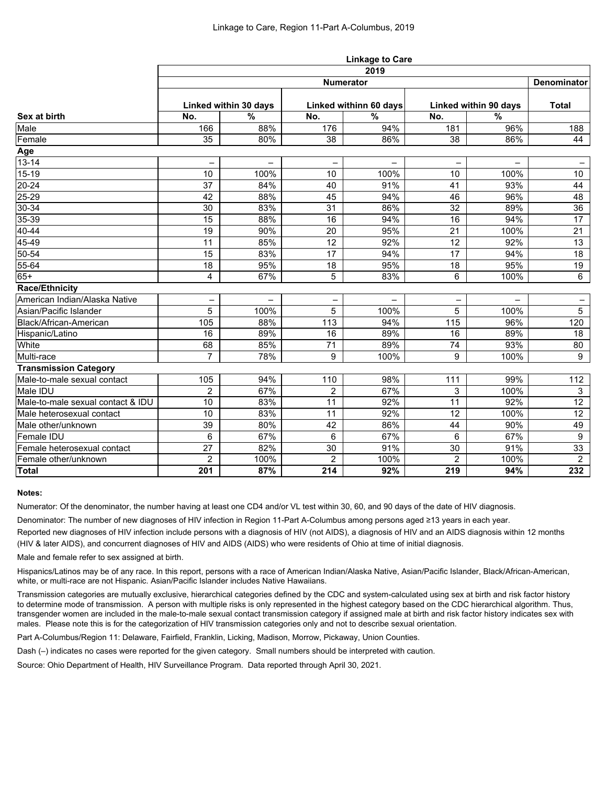|                                   | <b>Linkage to Care</b>   |                          |                |                        |                          |                          |                          |  |  |  |
|-----------------------------------|--------------------------|--------------------------|----------------|------------------------|--------------------------|--------------------------|--------------------------|--|--|--|
|                                   | 2019                     |                          |                |                        |                          |                          |                          |  |  |  |
| Sex at birth                      | <b>Numerator</b>         |                          |                |                        |                          |                          |                          |  |  |  |
|                                   | Linked within 30 days    |                          |                | Linked withinn 60 days |                          | Linked within 90 days    |                          |  |  |  |
|                                   | No.                      | $\frac{0}{0}$            | No.            | $\frac{9}{6}$          | No.                      | $\frac{9}{6}$            |                          |  |  |  |
| Male                              | 166                      | 88%                      | 176            | 94%                    | 181                      | 96%                      | 188                      |  |  |  |
| Female                            | 35                       | 80%                      | 38             | 86%                    | 38                       | 86%                      | 44                       |  |  |  |
| <b>Age</b>                        |                          |                          |                |                        |                          |                          |                          |  |  |  |
| $13 - 14$                         | $\overline{\phantom{0}}$ | $\overline{\phantom{0}}$ | -              | -                      | $\overline{\phantom{m}}$ | $\overline{\phantom{0}}$ | $\overline{\phantom{0}}$ |  |  |  |
| $15-19$                           | 10                       | 100%                     | 10             | 100%                   | 10                       | 100%                     | 10 <sup>°</sup>          |  |  |  |
| $20 - 24$                         | 37                       | 84%                      | 40             | 91%                    | 41                       | 93%                      | 44                       |  |  |  |
| $25 - 29$                         | 42                       | 88%                      | 45             | 94%                    | 46                       | 96%                      | 48                       |  |  |  |
| $30 - 34$                         | 30                       | 83%                      | 31             | 86%                    | 32                       | 89%                      | 36                       |  |  |  |
| 35-39                             | 15                       | 88%                      | 16             | 94%                    | 16                       | 94%                      | 17                       |  |  |  |
| $40 - 44$                         | 19                       | 90%                      | 20             | 95%                    | 21                       | 100%                     | 21                       |  |  |  |
| $45 - 49$                         | 11                       | 85%                      | 12             | 92%                    | 12                       | 92%                      | 13                       |  |  |  |
| $50 - 54$                         | 15                       | 83%                      | 17             | 94%                    | 17                       | 94%                      | 18                       |  |  |  |
| 55-64                             | 18                       | 95%                      | 18             | 95%                    | 18                       | 95%                      | 19                       |  |  |  |
| $65+$                             | 4                        | 67%                      | 5              | 83%                    | 6                        | 100%                     | 6                        |  |  |  |
| <b>Race/Ethnicity</b>             |                          |                          |                |                        |                          |                          |                          |  |  |  |
| American Indian/Alaska Native     |                          |                          |                |                        |                          |                          |                          |  |  |  |
| Asian/Pacific Islander            | 5                        | 100%                     | 5              | 100%                   | 5                        | 100%                     | $5\phantom{.0}$          |  |  |  |
| Black/African-American            | 105                      | 88%                      | 113            | 94%                    | 115                      | 96%                      | 120                      |  |  |  |
| Hispanic/Latino                   | 16                       | 89%                      | 16             | 89%                    | 16                       | 89%                      | 18                       |  |  |  |
| White                             | 68                       | 85%                      | 71             | 89%                    | 74                       | 93%                      | 80                       |  |  |  |
| Multi-race                        | $\overline{7}$           | 78%                      | 9              | 100%                   | 9                        | 100%                     | 9                        |  |  |  |
| <b>Transmission Category</b>      |                          |                          |                |                        |                          |                          |                          |  |  |  |
| Male-to-male sexual contact       | 105                      | 94%                      | 110            | 98%                    | 111                      | 99%                      | 112                      |  |  |  |
| Male IDU                          | $\overline{2}$           | 67%                      | $\overline{2}$ | 67%                    | 3                        | 100%                     | $\mathbf{3}$             |  |  |  |
| Male-to-male sexual contact & IDU | 10                       | 83%                      | 11             | 92%                    | 11                       | 92%                      | 12                       |  |  |  |
| Male heterosexual contact         | $10$                     | 83%                      | 11             | 92%                    | $\overline{12}$          | 100%                     | $\overline{12}$          |  |  |  |
| Male other/unknown                | 39                       | 80%                      | 42             | 86%                    | 44                       | 90%                      | 49                       |  |  |  |
| Female IDU                        | 6                        | 67%                      | 6              | 67%                    | 6                        | 67%                      | 9                        |  |  |  |
| Female heterosexual contact       | 27                       | 82%                      | 30             | 91%                    | 30                       | 91%                      | 33                       |  |  |  |
| Female other/unknown              | $\overline{2}$           | 100%                     | $\overline{2}$ | 100%                   | $\overline{2}$           | 100%                     | $\overline{2}$           |  |  |  |
| <b>Total</b>                      | 201                      | 87%                      | 214            | 92%                    | 219                      | 94%                      | 232                      |  |  |  |

## **Notes:**

Numerator: Of the denominator, the number having at least one CD4 and/or VL test within 30, 60, and 90 days of the date of HIV diagnosis.

Denominator: The number of new diagnoses of HIV infection in Region 11-Part A-Columbus among persons aged ≥13 years in each year.

Reported new diagnoses of HIV infection include persons with a diagnosis of HIV (not AIDS), a diagnosis of HIV and an AIDS diagnosis within 12 months (HIV & later AIDS), and concurrent diagnoses of HIV and AIDS (AIDS) who were residents of Ohio at time of initial diagnosis.

Male and female refer to sex assigned at birth.

Hispanics/Latinos may be of any race. In this report, persons with a race of American Indian/Alaska Native, Asian/Pacific Islander, Black/African-American, white, or multi-race are not Hispanic. Asian/Pacific Islander includes Native Hawaiians.

Transmission categories are mutually exclusive, hierarchical categories defined by the CDC and system-calculated using sex at birth and risk factor history to determine mode of transmission. A person with multiple risks is only represented in the highest category based on the CDC hierarchical algorithm. Thus, transgender women are included in the male-to-male sexual contact transmission category if assigned male at birth and risk factor history indicates sex with males. Please note this is for the categorization of HIV transmission categories only and not to describe sexual orientation.

Part A-Columbus/Region 11: Delaware, Fairfield, Franklin, Licking, Madison, Morrow, Pickaway, Union Counties.

Dash (–) indicates no cases were reported for the given category. Small numbers should be interpreted with caution.

Source: Ohio Department of Health, HIV Surveillance Program. Data reported through April 30, 2021.